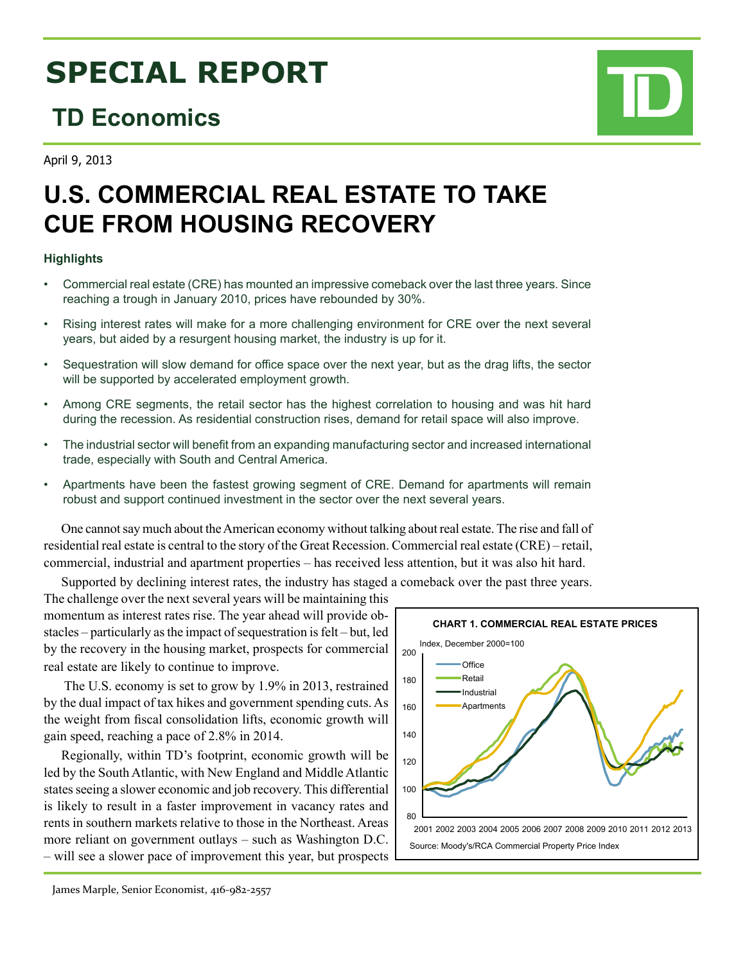# **SPECIAL REPORT**

### **TD Economics**

April 9, 2013

## **U.S. COMMERCIAL REAL ESTATE TO TAKE CUE FROM HOUSING RECOVERY**

### **Highlights**

- Commercial real estate (CRE) has mounted an impressive comeback over the last three years. Since reaching a trough in January 2010, prices have rebounded by 30%.
- Rising interest rates will make for a more challenging environment for CRE over the next several years, but aided by a resurgent housing market, the industry is up for it.
- Sequestration will slow demand for office space over the next year, but as the drag lifts, the sector will be supported by accelerated employment growth.
- Among CRE segments, the retail sector has the highest correlation to housing and was hit hard during the recession. As residential construction rises, demand for retail space will also improve.
- • The industrial sector will benefit from an expanding manufacturing sector and increased international trade, especially with South and Central America.
- Apartments have been the fastest growing segment of CRE. Demand for apartments will remain robust and support continued investment in the sector over the next several years.

One cannot say much about the American economy without talking about real estate. The rise and fall of residential real estate is central to the story of the Great Recession. Commercial real estate (CRE) – retail, commercial, industrial and apartment properties – has received less attention, but it was also hit hard.

Supported by declining interest rates, the industry has staged a comeback over the past three years.

The challenge over the next several years will be maintaining this momentum as interest rates rise. The year ahead will provide obstacles – particularly as the impact of sequestration is felt – but, led by the recovery in the housing market, prospects for commercial real estate are likely to continue to improve.

 The U.S. economy is set to grow by 1.9% in 2013, restrained by the dual impact of tax hikes and government spending cuts. As the weight from fiscal consolidation lifts, economic growth will gain speed, reaching a pace of 2.8% in 2014.

Regionally, within TD's footprint, economic growth will be led by the South Atlantic, with New England and Middle Atlantic states seeing a slower economic and job recovery. This differential is likely to result in a faster improvement in vacancy rates and rents in southern markets relative to those in the Northeast. Areas more reliant on government outlays – such as Washington D.C. – will see a slower pace of improvement this year, but prospects



James Marple, Senior Economist, 416-982-2557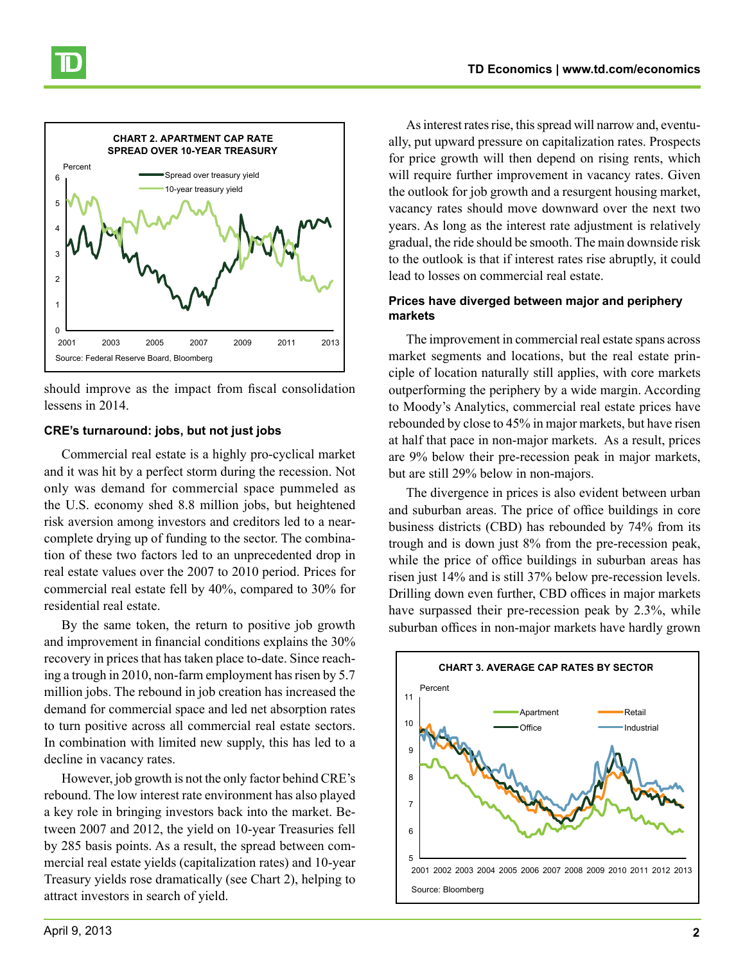

should improve as the impact from fiscal consolidation lessens in 2014.

#### **CRE's turnaround: jobs, but not just jobs**

Commercial real estate is a highly pro-cyclical market and it was hit by a perfect storm during the recession. Not only was demand for commercial space pummeled as the U.S. economy shed 8.8 million jobs, but heightened risk aversion among investors and creditors led to a nearcomplete drying up of funding to the sector. The combination of these two factors led to an unprecedented drop in real estate values over the 2007 to 2010 period. Prices for commercial real estate fell by 40%, compared to 30% for residential real estate.

By the same token, the return to positive job growth and improvement in financial conditions explains the 30% recovery in prices that has taken place to-date. Since reaching a trough in 2010, non-farm employment has risen by 5.7 million jobs. The rebound in job creation has increased the demand for commercial space and led net absorption rates to turn positive across all commercial real estate sectors. In combination with limited new supply, this has led to a decline in vacancy rates.

However, job growth is not the only factor behind CRE's rebound. The low interest rate environment has also played a key role in bringing investors back into the market. Between 2007 and 2012, the yield on 10-year Treasuries fell by 285 basis points. As a result, the spread between commercial real estate yields (capitalization rates) and 10-year Treasury yields rose dramatically (see Chart 2), helping to attract investors in search of yield.

As interest rates rise, this spread will narrow and, eventually, put upward pressure on capitalization rates. Prospects for price growth will then depend on rising rents, which will require further improvement in vacancy rates. Given the outlook for job growth and a resurgent housing market, vacancy rates should move downward over the next two years. As long as the interest rate adjustment is relatively gradual, the ride should be smooth. The main downside risk to the outlook is that if interest rates rise abruptly, it could lead to losses on commercial real estate.

### **Prices have diverged between major and periphery markets**

The improvement in commercial real estate spans across market segments and locations, but the real estate principle of location naturally still applies, with core markets outperforming the periphery by a wide margin. According to Moody's Analytics, commercial real estate prices have rebounded by close to 45% in major markets, but have risen at half that pace in non-major markets. As a result, prices are 9% below their pre-recession peak in major markets, but are still 29% below in non-majors.

The divergence in prices is also evident between urban and suburban areas. The price of office buildings in core business districts (CBD) has rebounded by 74% from its trough and is down just 8% from the pre-recession peak, while the price of office buildings in suburban areas has risen just 14% and is still 37% below pre-recession levels. Drilling down even further, CBD offices in major markets have surpassed their pre-recession peak by 2.3%, while suburban offices in non-major markets have hardly grown

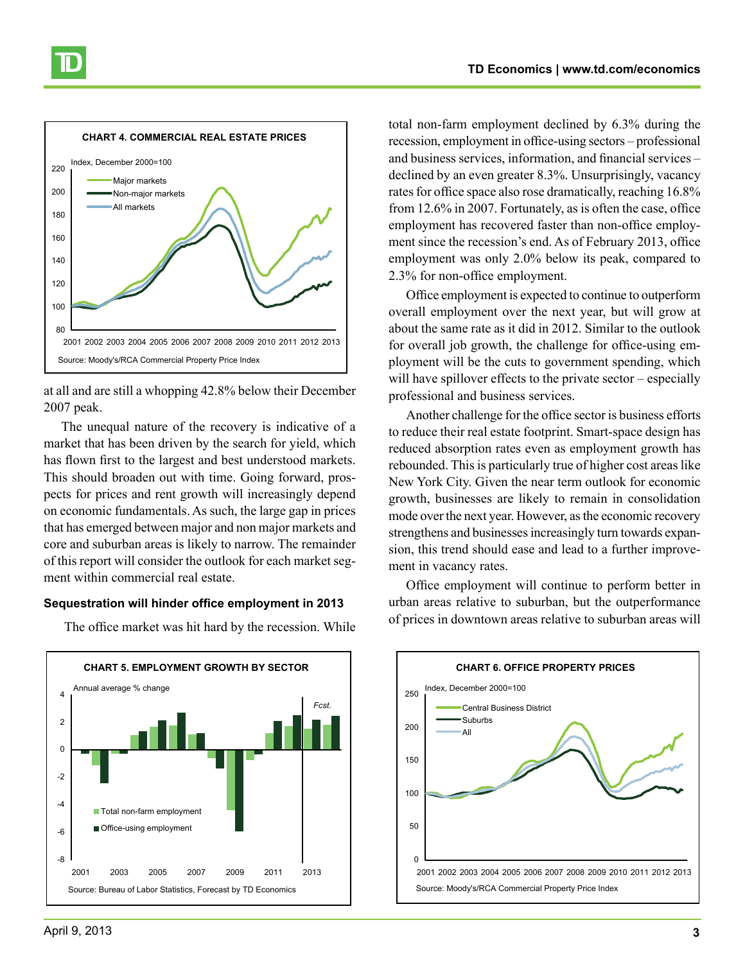

at all and are still a whopping 42.8% below their December 2007 peak.

The unequal nature of the recovery is indicative of a market that has been driven by the search for yield, which has flown first to the largest and best understood markets. This should broaden out with time. Going forward, prospects for prices and rent growth will increasingly depend on economic fundamentals. As such, the large gap in prices that has emerged between major and non major markets and core and suburban areas is likely to narrow. The remainder of this report will consider the outlook for each market segment within commercial real estate.

#### **Sequestration will hinder office employment in 2013**

**CHART 5. EMPLOYMENT GROWTH BY SECTOR** -8 -6 -4 -2  $\Omega$ 2 4 2001 2003 2005 2007 2009 2011 2013 Total non-farm employment Office-using employment Annual average % change Source: Bureau of Labor Statistics, Forecast by TD Economics *Fcst.*

The office market was hit hard by the recession. While

total non-farm employment declined by 6.3% during the recession, employment in office-using sectors – professional and business services, information, and financial services – declined by an even greater 8.3%. Unsurprisingly, vacancy rates for office space also rose dramatically, reaching 16.8% from 12.6% in 2007. Fortunately, as is often the case, office employment has recovered faster than non-office employment since the recession's end. As of February 2013, office employment was only 2.0% below its peak, compared to 2.3% for non-office employment.

Office employment is expected to continue to outperform overall employment over the next year, but will grow at about the same rate as it did in 2012. Similar to the outlook for overall job growth, the challenge for office-using employment will be the cuts to government spending, which will have spillover effects to the private sector – especially professional and business services.

Another challenge for the office sector is business efforts to reduce their real estate footprint. Smart-space design has reduced absorption rates even as employment growth has rebounded. This is particularly true of higher cost areas like New York City. Given the near term outlook for economic growth, businesses are likely to remain in consolidation mode over the next year. However, as the economic recovery strengthens and businesses increasingly turn towards expansion, this trend should ease and lead to a further improvement in vacancy rates.

Office employment will continue to perform better in urban areas relative to suburban, but the outperformance of prices in downtown areas relative to suburban areas will

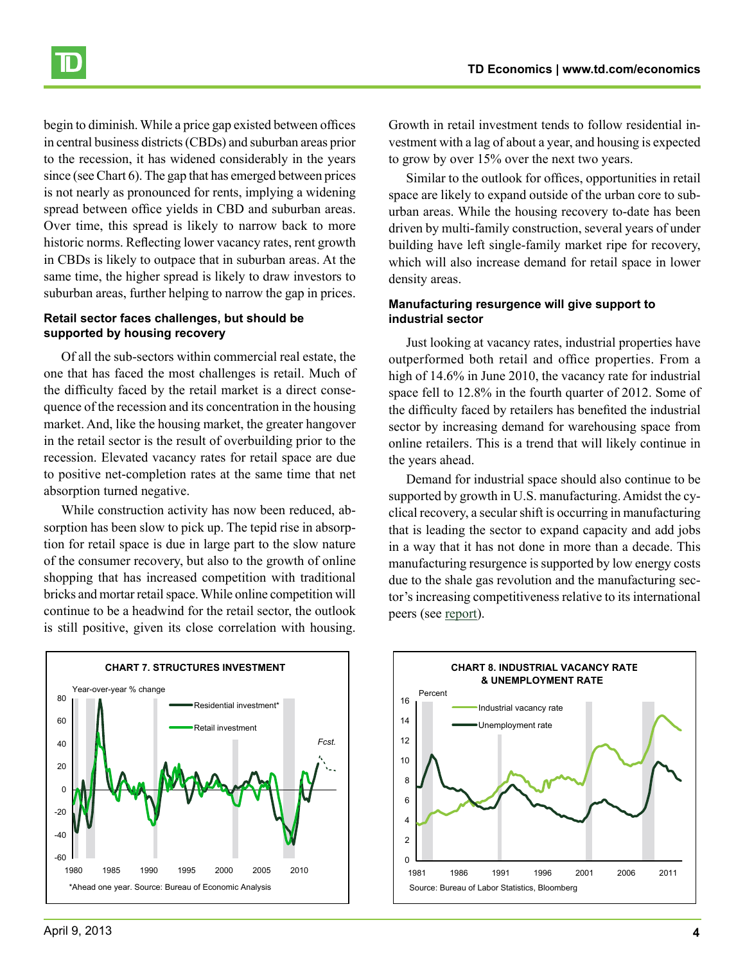begin to diminish. While a price gap existed between offices in central business districts (CBDs) and suburban areas prior to the recession, it has widened considerably in the years since (see Chart 6). The gap that has emerged between prices is not nearly as pronounced for rents, implying a widening spread between office yields in CBD and suburban areas. Over time, this spread is likely to narrow back to more historic norms. Reflecting lower vacancy rates, rent growth in CBDs is likely to outpace that in suburban areas. At the same time, the higher spread is likely to draw investors to suburban areas, further helping to narrow the gap in prices.

#### **Retail sector faces challenges, but should be supported by housing recovery**

Of all the sub-sectors within commercial real estate, the one that has faced the most challenges is retail. Much of the difficulty faced by the retail market is a direct consequence of the recession and its concentration in the housing market. And, like the housing market, the greater hangover in the retail sector is the result of overbuilding prior to the recession. Elevated vacancy rates for retail space are due to positive net-completion rates at the same time that net absorption turned negative.

While construction activity has now been reduced, absorption has been slow to pick up. The tepid rise in absorption for retail space is due in large part to the slow nature of the consumer recovery, but also to the growth of online shopping that has increased competition with traditional bricks and mortar retail space. While online competition will continue to be a headwind for the retail sector, the outlook is still positive, given its close correlation with housing.

vestment with a lag of about a year, and housing is expected to grow by over 15% over the next two years. Similar to the outlook for offices, opportunities in retail

space are likely to expand outside of the urban core to suburban areas. While the housing recovery to-date has been driven by multi-family construction, several years of under building have left single-family market ripe for recovery, which will also increase demand for retail space in lower density areas.

Growth in retail investment tends to follow residential in-

#### **Manufacturing resurgence will give support to industrial sector**

Just looking at vacancy rates, industrial properties have outperformed both retail and office properties. From a high of 14.6% in June 2010, the vacancy rate for industrial space fell to 12.8% in the fourth quarter of 2012. Some of the difficulty faced by retailers has benefited the industrial sector by increasing demand for warehousing space from online retailers. This is a trend that will likely continue in the years ahead.

Demand for industrial space should also continue to be supported by growth in U.S. manufacturing. Amidst the cyclical recovery, a secular shift is occurring in manufacturing that is leading the sector to expand capacity and add jobs in a way that it has not done in more than a decade. This manufacturing resurgence is supported by low energy costs due to the shale gas revolution and the manufacturing sector's increasing competitiveness relative to its international peers (see [report](http://www.td.com/document/PDF/economics/special/md1012_onshoring.pdf)).





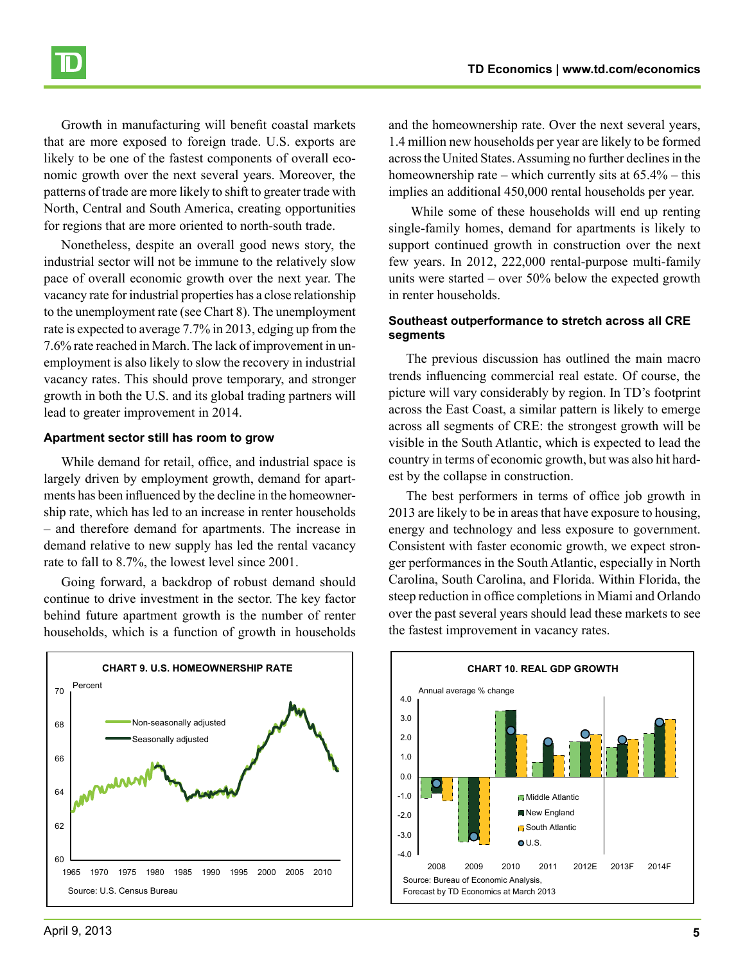Growth in manufacturing will benefit coastal markets that are more exposed to foreign trade. U.S. exports are likely to be one of the fastest components of overall economic growth over the next several years. Moreover, the patterns of trade are more likely to shift to greater trade with North, Central and South America, creating opportunities for regions that are more oriented to north-south trade.

Nonetheless, despite an overall good news story, the industrial sector will not be immune to the relatively slow pace of overall economic growth over the next year. The vacancy rate for industrial properties has a close relationship to the unemployment rate (see Chart 8). The unemployment rate is expected to average 7.7% in 2013, edging up from the 7.6% rate reached in March. The lack of improvement in unemployment is also likely to slow the recovery in industrial vacancy rates. This should prove temporary, and stronger growth in both the U.S. and its global trading partners will lead to greater improvement in 2014.

#### **Apartment sector still has room to grow**

While demand for retail, office, and industrial space is largely driven by employment growth, demand for apartments has been influenced by the decline in the homeownership rate, which has led to an increase in renter households – and therefore demand for apartments. The increase in demand relative to new supply has led the rental vacancy rate to fall to 8.7%, the lowest level since 2001.

Going forward, a backdrop of robust demand should continue to drive investment in the sector. The key factor behind future apartment growth is the number of renter households, which is a function of growth in households

and the homeownership rate. Over the next several years, 1.4 million new households per year are likely to be formed across the United States. Assuming no further declines in the homeownership rate – which currently sits at 65.4% – this implies an additional 450,000 rental households per year.

 While some of these households will end up renting single-family homes, demand for apartments is likely to support continued growth in construction over the next few years. In 2012, 222,000 rental-purpose multi-family units were started – over 50% below the expected growth in renter households.

#### **Southeast outperformance to stretch across all CRE segments**

The previous discussion has outlined the main macro trends influencing commercial real estate. Of course, the picture will vary considerably by region. In TD's footprint across the East Coast, a similar pattern is likely to emerge across all segments of CRE: the strongest growth will be visible in the South Atlantic, which is expected to lead the country in terms of economic growth, but was also hit hardest by the collapse in construction.

The best performers in terms of office job growth in 2013 are likely to be in areas that have exposure to housing, energy and technology and less exposure to government. Consistent with faster economic growth, we expect stronger performances in the South Atlantic, especially in North Carolina, South Carolina, and Florida. Within Florida, the steep reduction in office completions in Miami and Orlando over the past several years should lead these markets to see the fastest improvement in vacancy rates.